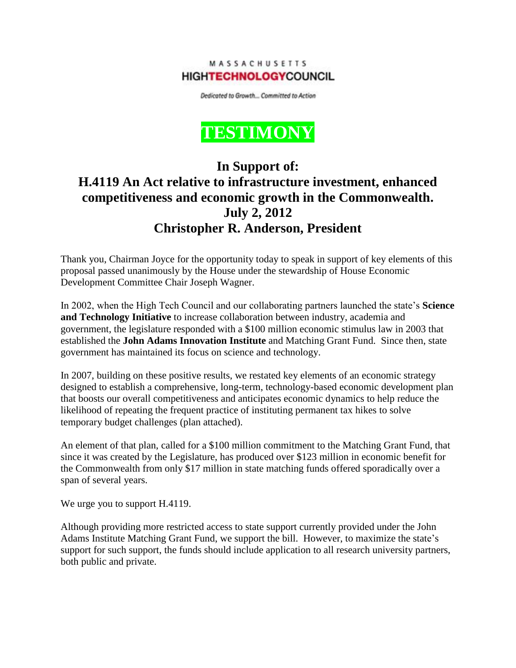MASSACHUSETTS **HIGHTECHNOLOGYCOUNCIL** 

Dedicated to Growth... Committed to Action



## **In Support of: H.4119 An Act relative to infrastructure investment, enhanced competitiveness and economic growth in the Commonwealth. July 2, 2012 Christopher R. Anderson, President**

Thank you, Chairman Joyce for the opportunity today to speak in support of key elements of this proposal passed unanimously by the House under the stewardship of House Economic Development Committee Chair Joseph Wagner.

In 2002, when the High Tech Council and our collaborating partners launched the state's **Science and Technology Initiative** to increase collaboration between industry, academia and government, the legislature responded with a \$100 million economic stimulus law in 2003 that established the **John Adams Innovation Institute** and Matching Grant Fund. Since then, state government has maintained its focus on science and technology.

In 2007, building on these positive results, we restated key elements of an economic strategy designed to establish a comprehensive, long-term, technology-based economic development plan that boosts our overall competitiveness and anticipates economic dynamics to help reduce the likelihood of repeating the frequent practice of instituting permanent tax hikes to solve temporary budget challenges (plan attached).

An element of that plan, called for a \$100 million commitment to the Matching Grant Fund, that since it was created by the Legislature, has produced over \$123 million in economic benefit for the Commonwealth from only \$17 million in state matching funds offered sporadically over a span of several years.

We urge you to support H.4119.

Although providing more restricted access to state support currently provided under the John Adams Institute Matching Grant Fund, we support the bill. However, to maximize the state's support for such support, the funds should include application to all research university partners, both public and private.